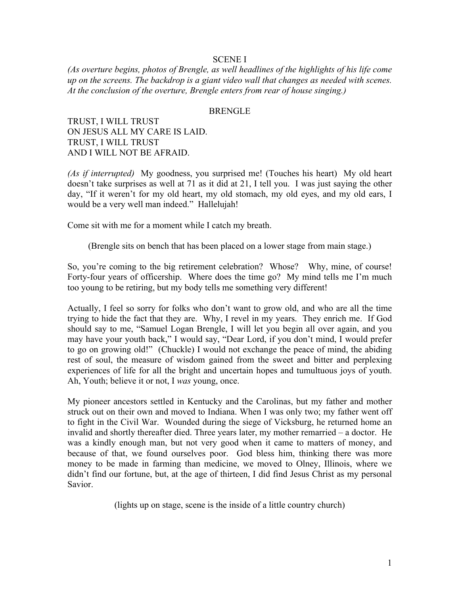## SCENE I

*(As overture begins, photos of Brengle, as well headlines of the highlights of his life come up on the screens. The backdrop is a giant video wall that changes as needed with scenes. At the conclusion of the overture, Brengle enters from rear of house singing.)*

#### BRENGLE

TRUST, I WILL TRUST ON JESUS ALL MY CARE IS LAID. TRUST, I WILL TRUST AND I WILL NOT BE AFRAID.

*(As if interrupted)* My goodness, you surprised me! (Touches his heart) My old heart doesn't take surprises as well at 71 as it did at 21, I tell you. I was just saying the other day, "If it weren't for my old heart, my old stomach, my old eyes, and my old ears, I would be a very well man indeed." Hallelujah!

Come sit with me for a moment while I catch my breath.

(Brengle sits on bench that has been placed on a lower stage from main stage.)

So, you're coming to the big retirement celebration? Whose? Why, mine, of course! Forty-four years of officership. Where does the time go? My mind tells me I'm much too young to be retiring, but my body tells me something very different!

Actually, I feel so sorry for folks who don't want to grow old, and who are all the time trying to hide the fact that they are. Why, I revel in my years. They enrich me. If God should say to me, "Samuel Logan Brengle, I will let you begin all over again, and you may have your youth back," I would say, "Dear Lord, if you don't mind, I would prefer to go on growing old!" (Chuckle) I would not exchange the peace of mind, the abiding rest of soul, the measure of wisdom gained from the sweet and bitter and perplexing experiences of life for all the bright and uncertain hopes and tumultuous joys of youth. Ah, Youth; believe it or not, I *was* young, once.

My pioneer ancestors settled in Kentucky and the Carolinas, but my father and mother struck out on their own and moved to Indiana. When I was only two; my father went off to fight in the Civil War. Wounded during the siege of Vicksburg, he returned home an invalid and shortly thereafter died. Three years later, my mother remarried – a doctor. He was a kindly enough man, but not very good when it came to matters of money, and because of that, we found ourselves poor. God bless him, thinking there was more money to be made in farming than medicine, we moved to Olney, Illinois, where we didn't find our fortune, but, at the age of thirteen, I did find Jesus Christ as my personal Savior.

(lights up on stage, scene is the inside of a little country church)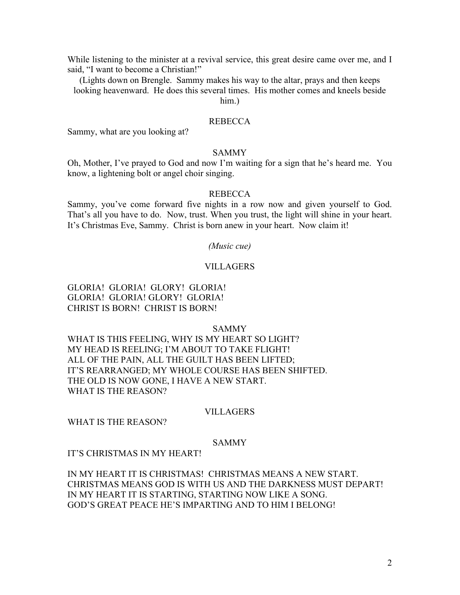While listening to the minister at a revival service, this great desire came over me, and I said, "I want to become a Christian!"

(Lights down on Brengle. Sammy makes his way to the altar, prays and then keeps looking heavenward. He does this several times. His mother comes and kneels beside

him.)

## REBECCA

Sammy, what are you looking at?

## SAMMY

Oh, Mother, I've prayed to God and now I'm waiting for a sign that he's heard me. You know, a lightening bolt or angel choir singing.

## REBECCA

Sammy, you've come forward five nights in a row now and given yourself to God. That's all you have to do. Now, trust. When you trust, the light will shine in your heart. It's Christmas Eve, Sammy. Christ is born anew in your heart. Now claim it!

#### *(Music cue)*

#### VILLAGERS

# GLORIA! GLORIA! GLORY! GLORIA! GLORIA! GLORIA! GLORY! GLORIA! CHRIST IS BORN! CHRIST IS BORN!

#### SAMMY

WHAT IS THIS FEELING, WHY IS MY HEART SO LIGHT? MY HEAD IS REELING; I'M ABOUT TO TAKE FLIGHT! ALL OF THE PAIN, ALL THE GUILT HAS BEEN LIFTED; IT'S REARRANGED; MY WHOLE COURSE HAS BEEN SHIFTED. THE OLD IS NOW GONE, I HAVE A NEW START. WHAT IS THE REASON?

#### VILLAGERS

WHAT IS THE REASON?

#### SAMMY

IT'S CHRISTMAS IN MY HEART!

IN MY HEART IT IS CHRISTMAS! CHRISTMAS MEANS A NEW START. CHRISTMAS MEANS GOD IS WITH US AND THE DARKNESS MUST DEPART! IN MY HEART IT IS STARTING, STARTING NOW LIKE A SONG. GOD'S GREAT PEACE HE'S IMPARTING AND TO HIM I BELONG!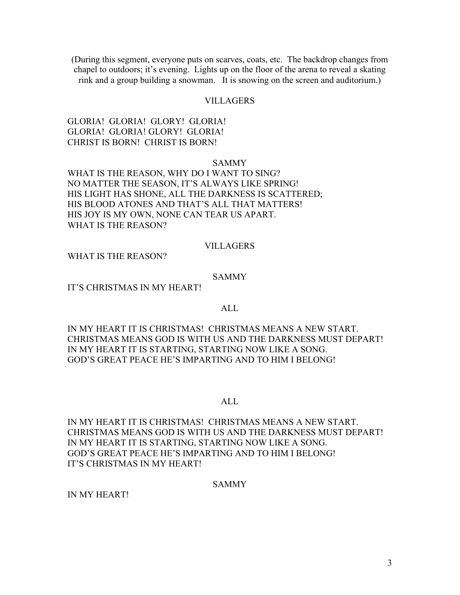(During this segment, everyone puts on scarves, coats, etc. The backdrop changes from chapel to outdoors; it's evening. Lights up on the floor of the arena to reveal a skating rink and a group building a snowman. It is snowing on the screen and auditorium.)

## VILLAGERS

# GLORIA! GLORIA! GLORY! GLORIA! GLORIA! GLORIA! GLORY! GLORIA! CHRIST IS BORN! CHRIST IS BORN!

## SAMMY

WHAT IS THE REASON, WHY DO I WANT TO SING? NO MATTER THE SEASON, IT'S ALWAYS LIKE SPRING! HIS LIGHT HAS SHONE, ALL THE DARKNESS IS SCATTERED; HIS BLOOD ATONES AND THAT'S ALL THAT MATTERS! HIS JOY IS MY OWN, NONE CAN TEAR US APART. WHAT IS THE REASON?

## VILLAGERS

WHAT IS THE REASON?

## SAMMY

IT'S CHRISTMAS IN MY HEART!

## ALL.

IN MY HEART IT IS CHRISTMAS! CHRISTMAS MEANS A NEW START. CHRISTMAS MEANS GOD IS WITH US AND THE DARKNESS MUST DEPART! IN MY HEART IT IS STARTING, STARTING NOW LIKE A SONG. GOD'S GREAT PEACE HE'S IMPARTING AND TO HIM I BELONG!

## ALL

IN MY HEART IT IS CHRISTMAS! CHRISTMAS MEANS A NEW START. CHRISTMAS MEANS GOD IS WITH US AND THE DARKNESS MUST DEPART! IN MY HEART IT IS STARTING, STARTING NOW LIKE A SONG. GOD'S GREAT PEACE HE'S IMPARTING AND TO HIM I BELONG! IT'S CHRISTMAS IN MY HEART!

# SAMMY

IN MY HEART!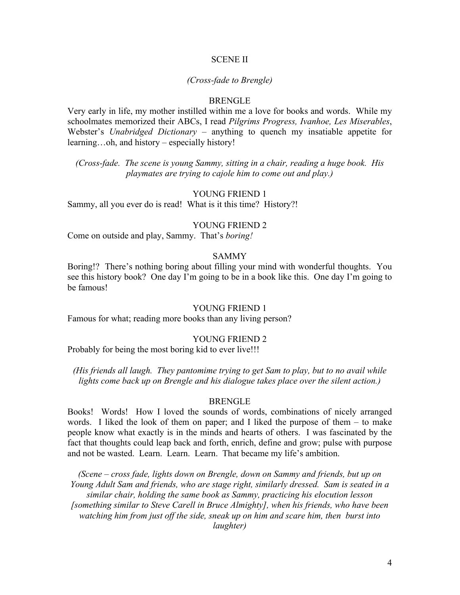#### SCENE II

#### *(Cross-fade to Brengle)*

#### BRENGLE

Very early in life, my mother instilled within me a love for books and words. While my schoolmates memorized their ABCs, I read *Pilgrims Progress, Ivanhoe, Les Miserables*, Webster's *Unabridged Dictionary –* anything to quench my insatiable appetite for learning…oh, and history – especially history!

*(Cross-fade. The scene is young Sammy, sitting in a chair, reading a huge book. His playmates are trying to cajole him to come out and play.)*

#### YOUNG FRIEND 1

Sammy, all you ever do is read! What is it this time? History?!

#### YOUNG FRIEND 2

Come on outside and play, Sammy. That's *boring!*

## SAMMY

Boring!? There's nothing boring about filling your mind with wonderful thoughts. You see this history book? One day I'm going to be in a book like this. One day I'm going to be famous!

#### YOUNG FRIEND 1

Famous for what; reading more books than any living person?

#### YOUNG FRIEND 2

Probably for being the most boring kid to ever live!!!

*(His friends all laugh. They pantomime trying to get Sam to play, but to no avail while lights come back up on Brengle and his dialogue takes place over the silent action.)*

#### BRENGLE

Books! Words! How I loved the sounds of words, combinations of nicely arranged words. I liked the look of them on paper; and I liked the purpose of them – to make people know what exactly is in the minds and hearts of others. I was fascinated by the fact that thoughts could leap back and forth, enrich, define and grow; pulse with purpose and not be wasted. Learn. Learn. Learn. That became my life's ambition.

*(Scene – cross fade, lights down on Brengle, down on Sammy and friends, but up on Young Adult Sam and friends, who are stage right, similarly dressed. Sam is seated in a similar chair, holding the same book as Sammy, practicing his elocution lesson [something similar to Steve Carell in Bruce Almighty], when his friends, who have been watching him from just off the side, sneak up on him and scare him, then burst into laughter)*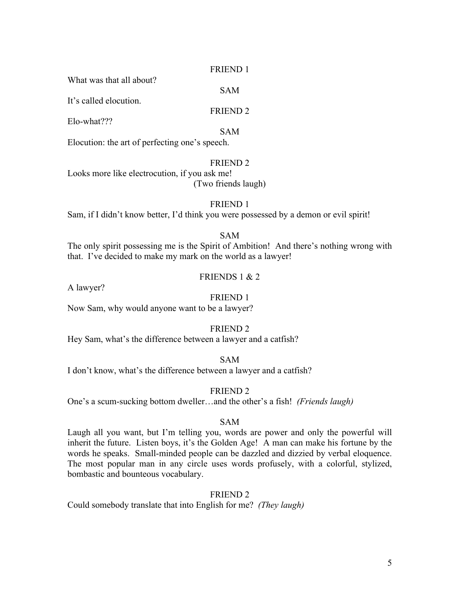#### FRIEND 1

SAM

What was that all about?

It's called elocution.

## FRIEND 2

Elo-what???

SAM

Elocution: the art of perfecting one's speech.

## FRIEND 2

Looks more like electrocution, if you ask me! (Two friends laugh)

# FRIEND 1

Sam, if I didn't know better, I'd think you were possessed by a demon or evil spirit!

# SAM

The only spirit possessing me is the Spirit of Ambition! And there's nothing wrong with that. I've decided to make my mark on the world as a lawyer!

# FRIENDS 1 & 2

A lawyer?

## FRIEND 1

Now Sam, why would anyone want to be a lawyer?

## FRIEND 2

Hey Sam, what's the difference between a lawyer and a catfish?

SAM

I don't know, what's the difference between a lawyer and a catfish?

# FRIEND 2

One's a scum-sucking bottom dweller…and the other's a fish! *(Friends laugh)*

# SAM

Laugh all you want, but I'm telling you, words are power and only the powerful will inherit the future. Listen boys, it's the Golden Age! A man can make his fortune by the words he speaks. Small-minded people can be dazzled and dizzied by verbal eloquence. The most popular man in any circle uses words profusely, with a colorful, stylized, bombastic and bounteous vocabulary.

## FRIEND 2

Could somebody translate that into English for me? *(They laugh)*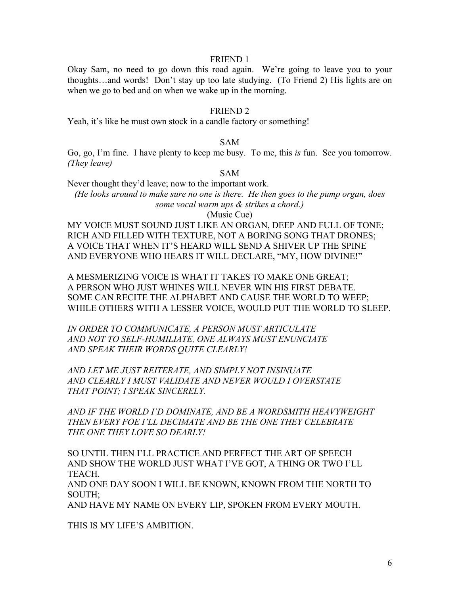#### FRIEND 1

Okay Sam, no need to go down this road again. We're going to leave you to your thoughts…and words! Don't stay up too late studying. (To Friend 2) His lights are on when we go to bed and on when we wake up in the morning.

#### FRIEND 2

Yeah, it's like he must own stock in a candle factory or something!

## SAM

Go, go, I'm fine. I have plenty to keep me busy. To me, this *is* fun. See you tomorrow. *(They leave)*

# SAM

Never thought they'd leave; now to the important work.

*(He looks around to make sure no one is there. He then goes to the pump organ, does some vocal warm ups & strikes a chord.)*

(Music Cue)

MY VOICE MUST SOUND JUST LIKE AN ORGAN, DEEP AND FULL OF TONE; RICH AND FILLED WITH TEXTURE, NOT A BORING SONG THAT DRONES; A VOICE THAT WHEN IT'S HEARD WILL SEND A SHIVER UP THE SPINE AND EVERYONE WHO HEARS IT WILL DECLARE, "MY, HOW DIVINE!"

A MESMERIZING VOICE IS WHAT IT TAKES TO MAKE ONE GREAT; A PERSON WHO JUST WHINES WILL NEVER WIN HIS FIRST DEBATE. SOME CAN RECITE THE ALPHABET AND CAUSE THE WORLD TO WEEP; WHILE OTHERS WITH A LESSER VOICE, WOULD PUT THE WORLD TO SLEEP.

*IN ORDER TO COMMUNICATE, A PERSON MUST ARTICULATE AND NOT TO SELF-HUMILIATE, ONE ALWAYS MUST ENUNCIATE AND SPEAK THEIR WORDS QUITE CLEARLY!*

*AND LET ME JUST REITERATE, AND SIMPLY NOT INSINUATE AND CLEARLY I MUST VALIDATE AND NEVER WOULD I OVERSTATE THAT POINT; I SPEAK SINCERELY.*

*AND IF THE WORLD I'D DOMINATE, AND BE A WORDSMITH HEAVYWEIGHT THEN EVERY FOE I'LL DECIMATE AND BE THE ONE THEY CELEBRATE THE ONE THEY LOVE SO DEARLY!*

SO UNTIL THEN I'LL PRACTICE AND PERFECT THE ART OF SPEECH AND SHOW THE WORLD JUST WHAT I'VE GOT, A THING OR TWO I'LL TEACH.

AND ONE DAY SOON I WILL BE KNOWN, KNOWN FROM THE NORTH TO SOUTH;

AND HAVE MY NAME ON EVERY LIP, SPOKEN FROM EVERY MOUTH.

THIS IS MY LIFE'S AMBITION.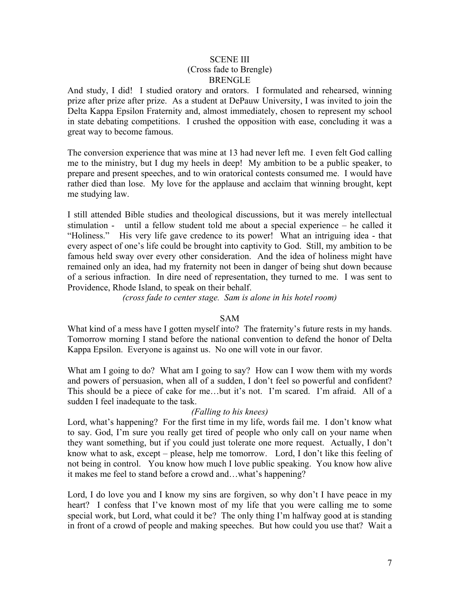## SCENE III (Cross fade to Brengle) **BRENGLE**

And study, I did! I studied oratory and orators. I formulated and rehearsed, winning prize after prize after prize. As a student at DePauw University, I was invited to join the Delta Kappa Epsilon Fraternity and, almost immediately, chosen to represent my school in state debating competitions. I crushed the opposition with ease, concluding it was a great way to become famous.

The conversion experience that was mine at 13 had never left me. I even felt God calling me to the ministry, but I dug my heels in deep! My ambition to be a public speaker, to prepare and present speeches, and to win oratorical contests consumed me. I would have rather died than lose. My love for the applause and acclaim that winning brought, kept me studying law.

I still attended Bible studies and theological discussions, but it was merely intellectual stimulation - until a fellow student told me about a special experience – he called it "Holiness." His very life gave credence to its power! What an intriguing idea - that every aspect of one's life could be brought into captivity to God. Still, my ambition to be famous held sway over every other consideration. And the idea of holiness might have remained only an idea, had my fraternity not been in danger of being shut down because of a serious infraction. In dire need of representation, they turned to me. I was sent to Providence, Rhode Island, to speak on their behalf.

*(cross fade to center stage. Sam is alone in his hotel room)*

# SAM

What kind of a mess have I gotten myself into? The fraternity's future rests in my hands. Tomorrow morning I stand before the national convention to defend the honor of Delta Kappa Epsilon. Everyone is against us. No one will vote in our favor.

What am I going to do? What am I going to say? How can I wow them with my words and powers of persuasion, when all of a sudden, I don't feel so powerful and confident? This should be a piece of cake for me…but it's not. I'm scared. I'm afraid. All of a sudden I feel inadequate to the task.

# *(Falling to his knees)*

Lord, what's happening? For the first time in my life, words fail me. I don't know what to say. God, I'm sure you really get tired of people who only call on your name when they want something, but if you could just tolerate one more request. Actually, I don't know what to ask, except – please, help me tomorrow. Lord, I don't like this feeling of not being in control. You know how much I love public speaking. You know how alive it makes me feel to stand before a crowd and…what's happening?

Lord, I do love you and I know my sins are forgiven, so why don't I have peace in my heart? I confess that I've known most of my life that you were calling me to some special work, but Lord, what could it be? The only thing I'm halfway good at is standing in front of a crowd of people and making speeches. But how could you use that? Wait a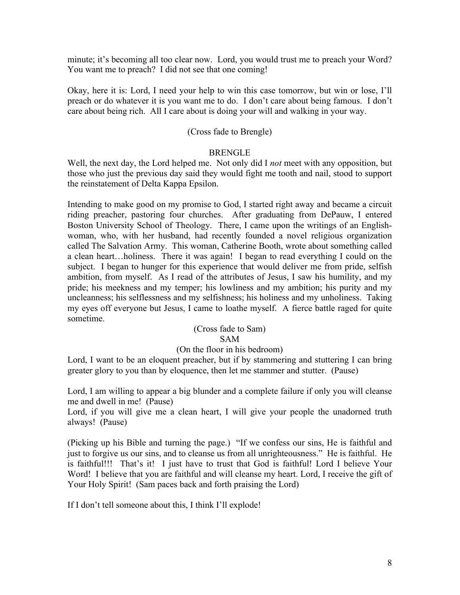minute; it's becoming all too clear now. Lord, you would trust me to preach your Word? You want me to preach? I did not see that one coming!

Okay, here it is: Lord, I need your help to win this case tomorrow, but win or lose, I'll preach or do whatever it is you want me to do. I don't care about being famous. I don't care about being rich. All I care about is doing your will and walking in your way.

# (Cross fade to Brengle)

# BRENGLE

Well, the next day, the Lord helped me. Not only did I *not* meet with any opposition, but those who just the previous day said they would fight me tooth and nail, stood to support the reinstatement of Delta Kappa Epsilon.

Intending to make good on my promise to God, I started right away and became a circuit riding preacher, pastoring four churches. After graduating from DePauw, I entered Boston University School of Theology. There, I came upon the writings of an Englishwoman, who, with her husband, had recently founded a novel religious organization called The Salvation Army. This woman, Catherine Booth, wrote about something called a clean heart…holiness. There it was again! I began to read everything I could on the subject. I began to hunger for this experience that would deliver me from pride, selfish ambition, from myself. As I read of the attributes of Jesus, I saw his humility, and my pride; his meekness and my temper; his lowliness and my ambition; his purity and my uncleanness; his selflessness and my selfishness; his holiness and my unholiness. Taking my eyes off everyone but Jesus, I came to loathe myself. A fierce battle raged for quite sometime.

#### (Cross fade to Sam) SAM

# (On the floor in his bedroom)

Lord, I want to be an eloquent preacher, but if by stammering and stuttering I can bring greater glory to you than by eloquence, then let me stammer and stutter. (Pause)

Lord, I am willing to appear a big blunder and a complete failure if only you will cleanse me and dwell in me! (Pause)

Lord, if you will give me a clean heart, I will give your people the unadorned truth always! (Pause)

(Picking up his Bible and turning the page.) "If we confess our sins, He is faithful and just to forgive us our sins, and to cleanse us from all unrighteousness." He is faithful. He is faithful!!! That's it! I just have to trust that God is faithful! Lord I believe Your Word! I believe that you are faithful and will cleanse my heart. Lord, I receive the gift of Your Holy Spirit! (Sam paces back and forth praising the Lord)

If I don't tell someone about this, I think I'll explode!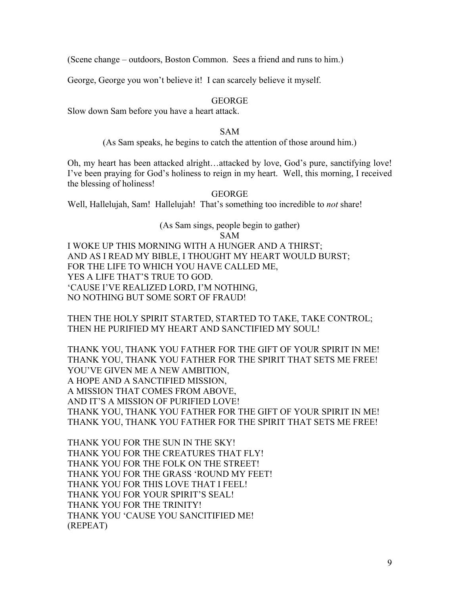(Scene change – outdoors, Boston Common. Sees a friend and runs to him.)

George, George you won't believe it! I can scarcely believe it myself.

## GEORGE

Slow down Sam before you have a heart attack.

## SAM

# (As Sam speaks, he begins to catch the attention of those around him.)

Oh, my heart has been attacked alright…attacked by love, God's pure, sanctifying love! I've been praying for God's holiness to reign in my heart. Well, this morning, I received the blessing of holiness!

# GEORGE

Well, Hallelujah, Sam! Hallelujah! That's something too incredible to *not* share!

# (As Sam sings, people begin to gather)

# SAM

I WOKE UP THIS MORNING WITH A HUNGER AND A THIRST; AND AS I READ MY BIBLE, I THOUGHT MY HEART WOULD BURST; FOR THE LIFE TO WHICH YOU HAVE CALLED ME, YES A LIFE THAT'S TRUE TO GOD. 'CAUSE I'VE REALIZED LORD, I'M NOTHING, NO NOTHING BUT SOME SORT OF FRAUD!

THEN THE HOLY SPIRIT STARTED, STARTED TO TAKE, TAKE CONTROL; THEN HE PURIFIED MY HEART AND SANCTIFIED MY SOUL!

THANK YOU, THANK YOU FATHER FOR THE GIFT OF YOUR SPIRIT IN ME! THANK YOU, THANK YOU FATHER FOR THE SPIRIT THAT SETS ME FREE! YOU'VE GIVEN ME A NEW AMBITION, A HOPE AND A SANCTIFIED MISSION, A MISSION THAT COMES FROM ABOVE, AND IT'S A MISSION OF PURIFIED LOVE! THANK YOU, THANK YOU FATHER FOR THE GIFT OF YOUR SPIRIT IN ME! THANK YOU, THANK YOU FATHER FOR THE SPIRIT THAT SETS ME FREE!

THANK YOU FOR THE SUN IN THE SKY! THANK YOU FOR THE CREATURES THAT FLY! THANK YOU FOR THE FOLK ON THE STREET! THANK YOU FOR THE GRASS 'ROUND MY FEET! THANK YOU FOR THIS LOVE THAT I FEEL! THANK YOU FOR YOUR SPIRIT'S SEAL! THANK YOU FOR THE TRINITY! THANK YOU 'CAUSE YOU SANCITIFIED ME! (REPEAT)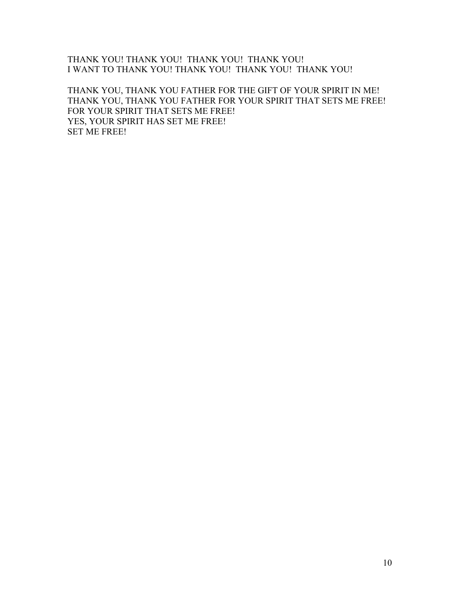# THANK YOU! THANK YOU! THANK YOU! THANK YOU! I WANT TO THANK YOU! THANK YOU! THANK YOU! THANK YOU!

THANK YOU, THANK YOU FATHER FOR THE GIFT OF YOUR SPIRIT IN ME! THANK YOU, THANK YOU FATHER FOR YOUR SPIRIT THAT SETS ME FREE! FOR YOUR SPIRIT THAT SETS ME FREE! YES, YOUR SPIRIT HAS SET ME FREE! SET ME FREE!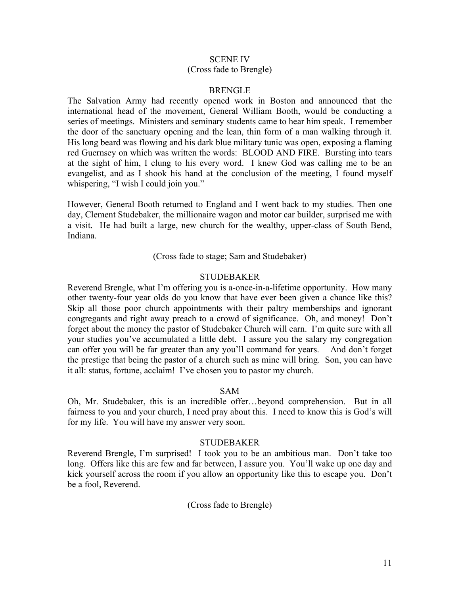# SCENE IV (Cross fade to Brengle)

## BRENGLE

The Salvation Army had recently opened work in Boston and announced that the international head of the movement, General William Booth, would be conducting a series of meetings. Ministers and seminary students came to hear him speak. I remember the door of the sanctuary opening and the lean, thin form of a man walking through it. His long beard was flowing and his dark blue military tunic was open, exposing a flaming red Guernsey on which was written the words: BLOOD AND FIRE. Bursting into tears at the sight of him, I clung to his every word. I knew God was calling me to be an evangelist, and as I shook his hand at the conclusion of the meeting, I found myself whispering, "I wish I could join you."

However, General Booth returned to England and I went back to my studies. Then one day, Clement Studebaker, the millionaire wagon and motor car builder, surprised me with a visit. He had built a large, new church for the wealthy, upper-class of South Bend, Indiana.

(Cross fade to stage; Sam and Studebaker)

## **STUDEBAKER**

Reverend Brengle, what I'm offering you is a-once-in-a-lifetime opportunity. How many other twenty-four year olds do you know that have ever been given a chance like this? Skip all those poor church appointments with their paltry memberships and ignorant congregants and right away preach to a crowd of significance. Oh, and money! Don't forget about the money the pastor of Studebaker Church will earn. I'm quite sure with all your studies you've accumulated a little debt. I assure you the salary my congregation can offer you will be far greater than any you'll command for years. And don't forget the prestige that being the pastor of a church such as mine will bring. Son, you can have it all: status, fortune, acclaim! I've chosen you to pastor my church.

#### SAM

Oh, Mr. Studebaker, this is an incredible offer…beyond comprehension. But in all fairness to you and your church, I need pray about this. I need to know this is God's will for my life. You will have my answer very soon.

## STUDEBAKER

Reverend Brengle, I'm surprised! I took you to be an ambitious man. Don't take too long. Offers like this are few and far between, I assure you. You'll wake up one day and kick yourself across the room if you allow an opportunity like this to escape you. Don't be a fool, Reverend.

(Cross fade to Brengle)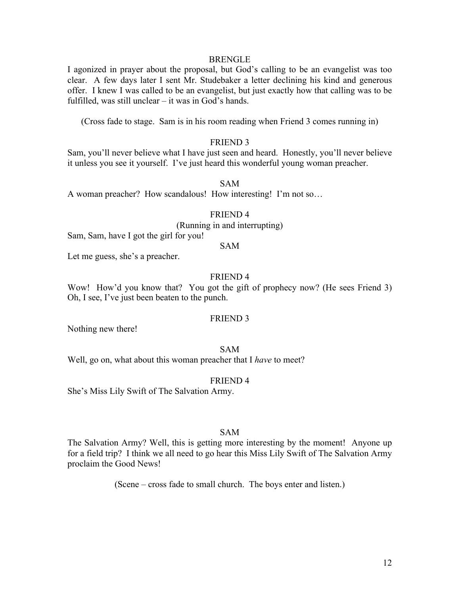#### BRENGLE

I agonized in prayer about the proposal, but God's calling to be an evangelist was too clear. A few days later I sent Mr. Studebaker a letter declining his kind and generous offer. I knew I was called to be an evangelist, but just exactly how that calling was to be fulfilled, was still unclear – it was in God's hands.

(Cross fade to stage. Sam is in his room reading when Friend 3 comes running in)

# FRIEND 3

Sam, you'll never believe what I have just seen and heard. Honestly, you'll never believe it unless you see it yourself. I've just heard this wonderful young woman preacher.

#### SAM

A woman preacher? How scandalous! How interesting! I'm not so…

## FRIEND 4

(Running in and interrupting)

Sam, Sam, have I got the girl for you!

## SAM

Let me guess, she's a preacher.

# FRIEND 4

Wow! How'd you know that? You got the gift of prophecy now? (He sees Friend 3) Oh, I see, I've just been beaten to the punch.

## FRIEND 3

Nothing new there!

#### SAM

Well, go on, what about this woman preacher that I *have* to meet?

#### FRIEND 4

She's Miss Lily Swift of The Salvation Army.

#### SAM

The Salvation Army? Well, this is getting more interesting by the moment! Anyone up for a field trip? I think we all need to go hear this Miss Lily Swift of The Salvation Army proclaim the Good News!

(Scene – cross fade to small church. The boys enter and listen.)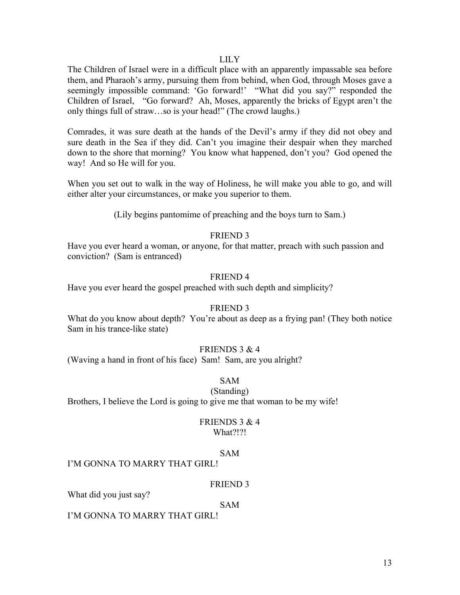#### LILY

The Children of Israel were in a difficult place with an apparently impassable sea before them, and Pharaoh's army, pursuing them from behind, when God, through Moses gave a seemingly impossible command: 'Go forward!' "What did you say?" responded the Children of Israel, "Go forward? Ah, Moses, apparently the bricks of Egypt aren't the only things full of straw…so is your head!" (The crowd laughs.)

Comrades, it was sure death at the hands of the Devil's army if they did not obey and sure death in the Sea if they did. Can't you imagine their despair when they marched down to the shore that morning? You know what happened, don't you? God opened the way! And so He will for you.

When you set out to walk in the way of Holiness, he will make you able to go, and will either alter your circumstances, or make you superior to them.

(Lily begins pantomime of preaching and the boys turn to Sam.)

# FRIEND 3

Have you ever heard a woman, or anyone, for that matter, preach with such passion and conviction? (Sam is entranced)

# FRIEND 4

Have you ever heard the gospel preached with such depth and simplicity?

#### FRIEND 3

What do you know about depth? You're about as deep as a frying pan! (They both notice Sam in his trance-like state)

## FRIENDS 3 & 4

(Waving a hand in front of his face) Sam! Sam, are you alright?

SAM

# (Standing)

Brothers, I believe the Lord is going to give me that woman to be my wife!

# FRIENDS 3 & 4

What?!?!

#### SAM

I'M GONNA TO MARRY THAT GIRL!

## FRIEND 3

What did you just say?

# SAM

I'M GONNA TO MARRY THAT GIRL!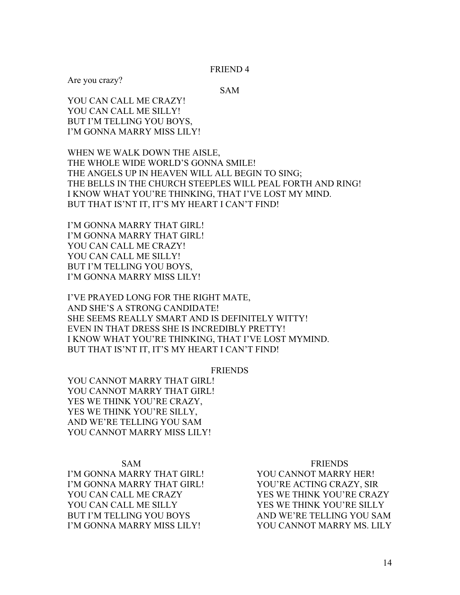FRIEND 4

Are you crazy?

SAM

YOU CAN CALL ME CRAZY! YOU CAN CALL ME SILLY! BUT I'M TELLING YOU BOYS, I'M GONNA MARRY MISS LILY!

WHEN WE WALK DOWN THE AISLE, THE WHOLE WIDE WORLD'S GONNA SMILE! THE ANGELS UP IN HEAVEN WILL ALL BEGIN TO SING; THE BELLS IN THE CHURCH STEEPLES WILL PEAL FORTH AND RING! I KNOW WHAT YOU'RE THINKING, THAT I'VE LOST MY MIND. BUT THAT IS'NT IT, IT'S MY HEART I CAN'T FIND!

I'M GONNA MARRY THAT GIRL! I'M GONNA MARRY THAT GIRL! YOU CAN CALL ME CRAZY! YOU CAN CALL ME SILLY! BUT I'M TELLING YOU BOYS, I'M GONNA MARRY MISS LILY!

I'VE PRAYED LONG FOR THE RIGHT MATE, AND SHE'S A STRONG CANDIDATE! SHE SEEMS REALLY SMART AND IS DEFINITELY WITTY! EVEN IN THAT DRESS SHE IS INCREDIBLY PRETTY! I KNOW WHAT YOU'RE THINKING, THAT I'VE LOST MYMIND. BUT THAT IS'NT IT, IT'S MY HEART I CAN'T FIND!

FRIENDS

YOU CANNOT MARRY THAT GIRL! YOU CANNOT MARRY THAT GIRL! YES WE THINK YOU'RE CRAZY, YES WE THINK YOU'RE SILLY, AND WE'RE TELLING YOU SAM YOU CANNOT MARRY MISS LILY!

I'M GONNA MARRY THAT GIRL! YOU CANNOT MARRY HER! I'M GONNA MARRY THAT GIRL! YOU'RE ACTING CRAZY, SIR YOU CAN CALL ME CRAZY YES WE THINK YOU'RE CRAZY YOU CAN CALL ME SILLY YES WE THINK YOU'RE SILLY BUT I'M TELLING YOU BOYS AND WE'RE TELLING YOU SAM I'M GONNA MARRY MISS LILY! YOU CANNOT MARRY MS. LILY

#### SAM FRIENDS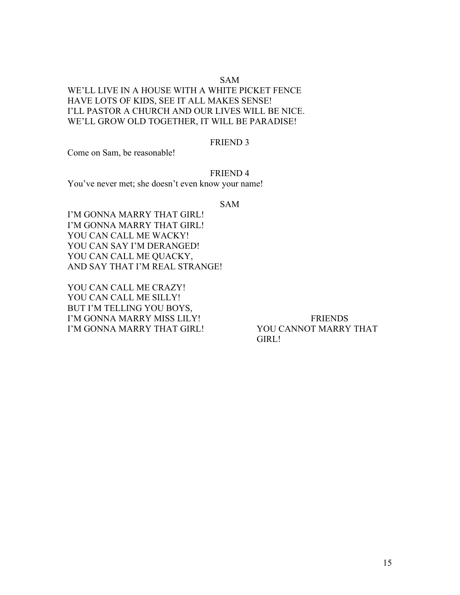# SAM

WE'LL LIVE IN A HOUSE WITH A WHITE PICKET FENCE HAVE LOTS OF KIDS, SEE IT ALL MAKES SENSE! I'LL PASTOR A CHURCH AND OUR LIVES WILL BE NICE. WE'LL GROW OLD TOGETHER, IT WILL BE PARADISE!

#### FRIEND 3

Come on Sam, be reasonable!

FRIEND 4

You've never met; she doesn't even know your name!

SAM

I'M GONNA MARRY THAT GIRL! I'M GONNA MARRY THAT GIRL! YOU CAN CALL ME WACKY! YOU CAN SAY I'M DERANGED! YOU CAN CALL ME QUACKY, AND SAY THAT I'M REAL STRANGE!

YOU CAN CALL ME CRAZY! YOU CAN CALL ME SILLY! BUT I'M TELLING YOU BOYS, I'M GONNA MARRY MISS LILY! FRIENDS I'M GONNA MARRY THAT GIRL! YOU CANNOT MARRY THAT

GIRL!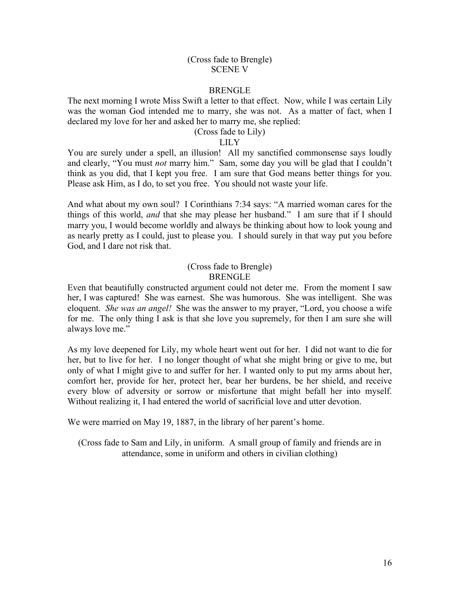## (Cross fade to Brengle) SCENE V

## BRENGLE

The next morning I wrote Miss Swift a letter to that effect. Now, while I was certain Lily was the woman God intended me to marry, she was not. As a matter of fact, when I declared my love for her and asked her to marry me, she replied:

# (Cross fade to Lily)

# LILY

You are surely under a spell, an illusion! All my sanctified commonsense says loudly and clearly, "You must *not* marry him." Sam, some day you will be glad that I couldn't think as you did, that I kept you free. I am sure that God means better things for you. Please ask Him, as I do, to set you free. You should not waste your life.

And what about my own soul? I Corinthians 7:34 says: "A married woman cares for the things of this world, *and* that she may please her husband." I am sure that if I should marry you, I would become worldly and always be thinking about how to look young and as nearly pretty as I could, just to please you. I should surely in that way put you before God, and I dare not risk that.

## (Cross fade to Brengle) BRENGLE

Even that beautifully constructed argument could not deter me. From the moment I saw her, I was captured! She was earnest. She was humorous. She was intelligent. She was eloquent. *She was an angel!* She was the answer to my prayer, "Lord, you choose a wife for me. The only thing I ask is that she love you supremely, for then I am sure she will always love me."

As my love deepened for Lily, my whole heart went out for her. I did not want to die for her, but to live for her. I no longer thought of what she might bring or give to me, but only of what I might give to and suffer for her. I wanted only to put my arms about her, comfort her, provide for her, protect her, bear her burdens, be her shield, and receive every blow of adversity or sorrow or misfortune that might befall her into myself. Without realizing it, I had entered the world of sacrificial love and utter devotion.

We were married on May 19, 1887, in the library of her parent's home.

(Cross fade to Sam and Lily, in uniform. A small group of family and friends are in attendance, some in uniform and others in civilian clothing)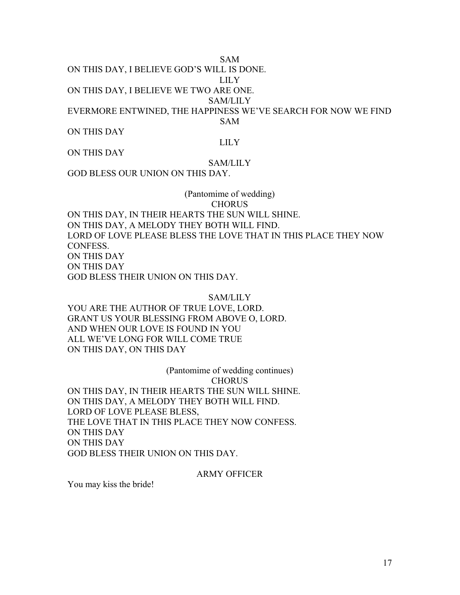SAM

ON THIS DAY, I BELIEVE GOD'S WILL IS DONE.

LILY

ON THIS DAY, I BELIEVE WE TWO ARE ONE.

SAM/LILY

EVERMORE ENTWINED, THE HAPPINESS WE'VE SEARCH FOR NOW WE FIND

SAM

ON THIS DAY

LILY

ON THIS DAY

# SAM/LILY

GOD BLESS OUR UNION ON THIS DAY.

# (Pantomime of wedding) **CHORUS**

ON THIS DAY, IN THEIR HEARTS THE SUN WILL SHINE. ON THIS DAY, A MELODY THEY BOTH WILL FIND. LORD OF LOVE PLEASE BLESS THE LOVE THAT IN THIS PLACE THEY NOW CONFESS. ON THIS DAY ON THIS DAY GOD BLESS THEIR UNION ON THIS DAY.

## SAM/LILY

YOU ARE THE AUTHOR OF TRUE LOVE, LORD. GRANT US YOUR BLESSING FROM ABOVE O, LORD. AND WHEN OUR LOVE IS FOUND IN YOU ALL WE'VE LONG FOR WILL COME TRUE ON THIS DAY, ON THIS DAY

(Pantomime of wedding continues) **CHORUS** ON THIS DAY, IN THEIR HEARTS THE SUN WILL SHINE. ON THIS DAY, A MELODY THEY BOTH WILL FIND. LORD OF LOVE PLEASE BLESS, THE LOVE THAT IN THIS PLACE THEY NOW CONFESS. ON THIS DAY ON THIS DAY GOD BLESS THEIR UNION ON THIS DAY.

## ARMY OFFICER

You may kiss the bride!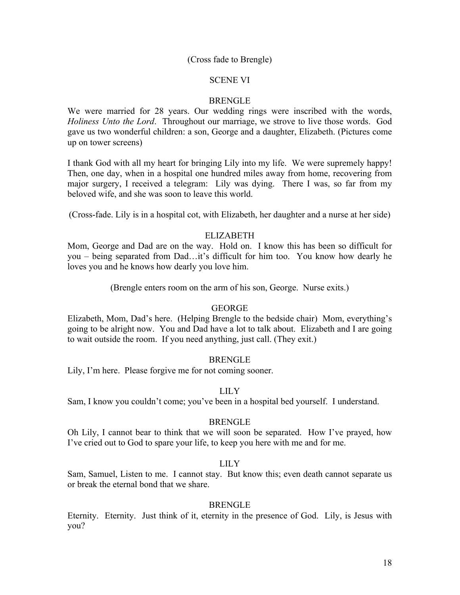## (Cross fade to Brengle)

## SCENE VI

## **BRENGLE**

We were married for 28 years. Our wedding rings were inscribed with the words, *Holiness Unto the Lord*. Throughout our marriage, we strove to live those words. God gave us two wonderful children: a son, George and a daughter, Elizabeth. (Pictures come up on tower screens)

I thank God with all my heart for bringing Lily into my life. We were supremely happy! Then, one day, when in a hospital one hundred miles away from home, recovering from major surgery, I received a telegram: Lily was dying. There I was, so far from my beloved wife, and she was soon to leave this world.

(Cross-fade. Lily is in a hospital cot, with Elizabeth, her daughter and a nurse at her side)

# ELIZABETH

Mom, George and Dad are on the way. Hold on. I know this has been so difficult for you – being separated from Dad…it's difficult for him too. You know how dearly he loves you and he knows how dearly you love him.

(Brengle enters room on the arm of his son, George. Nurse exits.)

#### **GEORGE**

Elizabeth, Mom, Dad's here. (Helping Brengle to the bedside chair) Mom, everything's going to be alright now. You and Dad have a lot to talk about. Elizabeth and I are going to wait outside the room. If you need anything, just call. (They exit.)

#### BRENGLE

Lily, I'm here. Please forgive me for not coming sooner.

## LILY

Sam, I know you couldn't come; you've been in a hospital bed yourself. I understand.

#### BRENGLE

Oh Lily, I cannot bear to think that we will soon be separated. How I've prayed, how I've cried out to God to spare your life, to keep you here with me and for me.

#### LILY

Sam, Samuel, Listen to me. I cannot stay. But know this; even death cannot separate us or break the eternal bond that we share.

#### BRENGLE

Eternity. Eternity. Just think of it, eternity in the presence of God. Lily, is Jesus with you?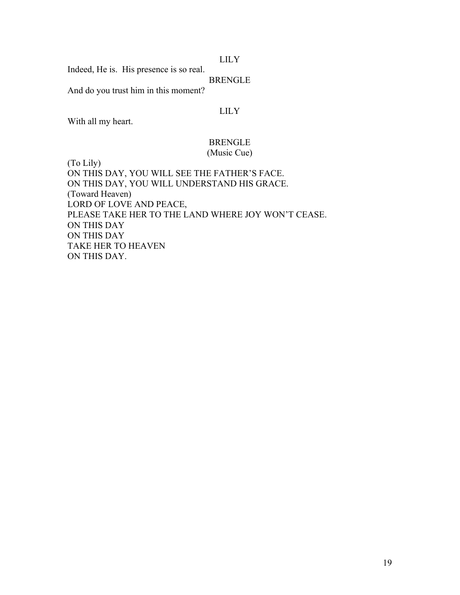## LILY

Indeed, He is. His presence is so real.

## BRENGLE

And do you trust him in this moment?

## LILY

With all my heart.

## BRENGLE (Music Cue)

(To Lily) ON THIS DAY, YOU WILL SEE THE FATHER'S FACE. ON THIS DAY, YOU WILL UNDERSTAND HIS GRACE. (Toward Heaven) LORD OF LOVE AND PEACE, PLEASE TAKE HER TO THE LAND WHERE JOY WON'T CEASE. ON THIS DAY ON THIS DAY TAKE HER TO HEAVEN ON THIS DAY.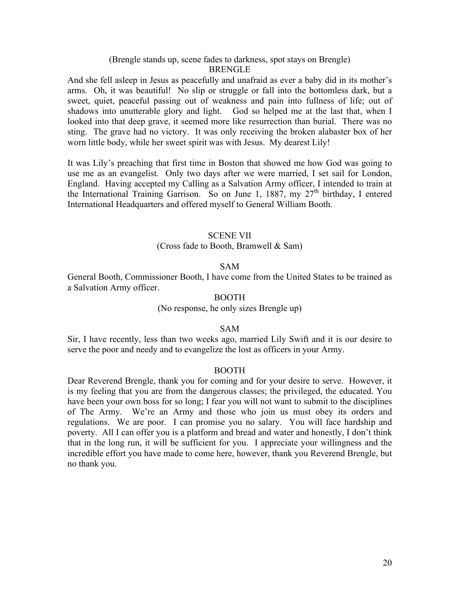## (Brengle stands up, scene fades to darkness, spot stays on Brengle) BRENGLE

And she fell asleep in Jesus as peacefully and unafraid as ever a baby did in its mother's arms. Oh, it was beautiful! No slip or struggle or fall into the bottomless dark, but a sweet, quiet, peaceful passing out of weakness and pain into fullness of life; out of shadows into unutterable glory and light. God so helped me at the last that, when I looked into that deep grave, it seemed more like resurrection than burial. There was no sting. The grave had no victory. It was only receiving the broken alabaster box of her worn little body, while her sweet spirit was with Jesus. My dearest Lily!

It was Lily's preaching that first time in Boston that showed me how God was going to use me as an evangelist. Only two days after we were married, I set sail for London, England. Having accepted my Calling as a Salvation Army officer, I intended to train at the International Training Garrison. So on June 1, 1887, my  $27<sup>th</sup>$  birthday, I entered International Headquarters and offered myself to General William Booth.

## SCENE VII

#### (Cross fade to Booth, Bramwell & Sam)

#### SAM

General Booth, Commissioner Booth, I have come from the United States to be trained as a Salvation Army officer.

## BOOTH

(No response, he only sizes Brengle up)

#### SAM

Sir, I have recently, less than two weeks ago, married Lily Swift and it is our desire to serve the poor and needy and to evangelize the lost as officers in your Army.

#### BOOTH

Dear Reverend Brengle, thank you for coming and for your desire to serve. However, it is my feeling that you are from the dangerous classes; the privileged, the educated. You have been your own boss for so long; I fear you will not want to submit to the disciplines of The Army. We're an Army and those who join us must obey its orders and regulations. We are poor. I can promise you no salary. You will face hardship and poverty. All I can offer you is a platform and bread and water and honestly, I don't think that in the long run, it will be sufficient for you. I appreciate your willingness and the incredible effort you have made to come here, however, thank you Reverend Brengle, but no thank you.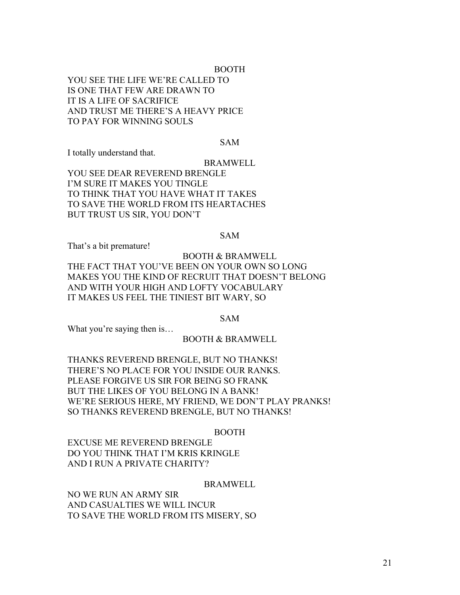## BOOTH

YOU SEE THE LIFE WE'RE CALLED TO IS ONE THAT FEW ARE DRAWN TO IT IS A LIFE OF SACRIFICE AND TRUST ME THERE'S A HEAVY PRICE TO PAY FOR WINNING SOULS

#### SAM

I totally understand that.

BRAMWELL YOU SEE DEAR REVEREND BRENGLE I'M SURE IT MAKES YOU TINGLE TO THINK THAT YOU HAVE WHAT IT TAKES TO SAVE THE WORLD FROM ITS HEARTACHES BUT TRUST US SIR, YOU DON'T

SAM

That's a bit premature!

# BOOTH & BRAMWELL THE FACT THAT YOU'VE BEEN ON YOUR OWN SO LONG MAKES YOU THE KIND OF RECRUIT THAT DOESN'T BELONG AND WITH YOUR HIGH AND LOFTY VOCABULARY IT MAKES US FEEL THE TINIEST BIT WARY, SO

SAM

What you're saying then is...

## BOOTH & BRAMWELL

THANKS REVEREND BRENGLE, BUT NO THANKS! THERE'S NO PLACE FOR YOU INSIDE OUR RANKS. PLEASE FORGIVE US SIR FOR BEING SO FRANK BUT THE LIKES OF YOU BELONG IN A BANK! WE'RE SERIOUS HERE, MY FRIEND, WE DON'T PLAY PRANKS! SO THANKS REVEREND BRENGLE, BUT NO THANKS!

#### BOOTH

EXCUSE ME REVEREND BRENGLE DO YOU THINK THAT I'M KRIS KRINGLE AND I RUN A PRIVATE CHARITY?

#### BRAMWELL

NO WE RUN AN ARMY SIR AND CASUALTIES WE WILL INCUR TO SAVE THE WORLD FROM ITS MISERY, SO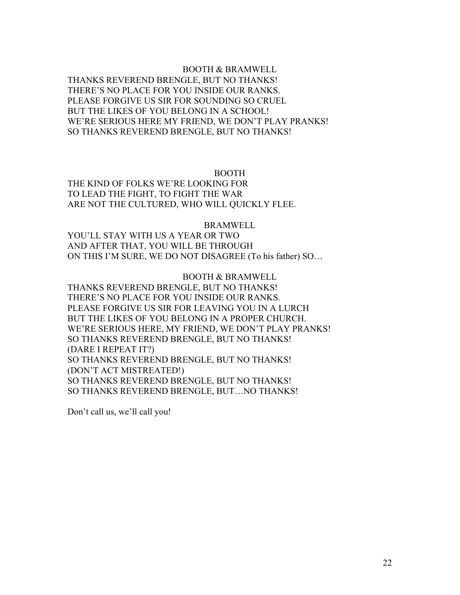# BOOTH & BRAMWELL THANKS REVEREND BRENGLE, BUT NO THANKS! THERE'S NO PLACE FOR YOU INSIDE OUR RANKS. PLEASE FORGIVE US SIR FOR SOUNDING SO CRUEL BUT THE LIKES OF YOU BELONG IN A SCHOOL! WE'RE SERIOUS HERE MY FRIEND, WE DON'T PLAY PRANKS! SO THANKS REVEREND BRENGLE, BUT NO THANKS!

# BOOTH

THE KIND OF FOLKS WE'RE LOOKING FOR TO LEAD THE FIGHT, TO FIGHT THE WAR ARE NOT THE CULTURED, WHO WILL QUICKLY FLEE.

BRAMWELL

YOU'LL STAY WITH US A YEAR OR TWO AND AFTER THAT, YOU WILL BE THROUGH ON THIS I'M SURE, WE DO NOT DISAGREE (To his father) SO…

BOOTH & BRAMWELL

THANKS REVEREND BRENGLE, BUT NO THANKS! THERE'S NO PLACE FOR YOU INSIDE OUR RANKS. PLEASE FORGIVE US SIR FOR LEAVING YOU IN A LURCH BUT THE LIKES OF YOU BELONG IN A PROPER CHURCH. WE'RE SERIOUS HERE, MY FRIEND, WE DON'T PLAY PRANKS! SO THANKS REVEREND BRENGLE, BUT NO THANKS! (DARE I REPEAT IT?) SO THANKS REVEREND BRENGLE, BUT NO THANKS! (DON'T ACT MISTREATED!) SO THANKS REVEREND BRENGLE, BUT NO THANKS! SO THANKS REVEREND BRENGLE, BUT…NO THANKS!

Don't call us, we'll call you!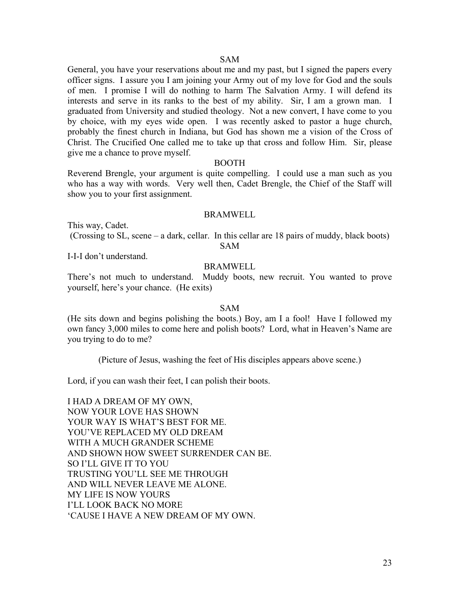#### SAM

General, you have your reservations about me and my past, but I signed the papers every officer signs. I assure you I am joining your Army out of my love for God and the souls of men. I promise I will do nothing to harm The Salvation Army. I will defend its interests and serve in its ranks to the best of my ability. Sir, I am a grown man. I graduated from University and studied theology. Not a new convert, I have come to you by choice, with my eyes wide open. I was recently asked to pastor a huge church, probably the finest church in Indiana, but God has shown me a vision of the Cross of Christ. The Crucified One called me to take up that cross and follow Him. Sir, please give me a chance to prove myself.

#### BOOTH

Reverend Brengle, your argument is quite compelling. I could use a man such as you who has a way with words. Very well then, Cadet Brengle, the Chief of the Staff will show you to your first assignment.

#### **BRAMWELL**

This way, Cadet.

(Crossing to SL, scene – a dark, cellar. In this cellar are 18 pairs of muddy, black boots) SAM

I-I-I don't understand.

#### BRAMWELL

There's not much to understand. Muddy boots, new recruit. You wanted to prove yourself, here's your chance. (He exits)

#### SAM

(He sits down and begins polishing the boots.) Boy, am I a fool! Have I followed my own fancy 3,000 miles to come here and polish boots? Lord, what in Heaven's Name are you trying to do to me?

(Picture of Jesus, washing the feet of His disciples appears above scene.)

Lord, if you can wash their feet, I can polish their boots.

I HAD A DREAM OF MY OWN, NOW YOUR LOVE HAS SHOWN YOUR WAY IS WHAT'S BEST FOR ME. YOU'VE REPLACED MY OLD DREAM WITH A MUCH GRANDER SCHEME AND SHOWN HOW SWEET SURRENDER CAN BE. SO I'LL GIVE IT TO YOU TRUSTING YOU'LL SEE ME THROUGH AND WILL NEVER LEAVE ME ALONE. MY LIFE IS NOW YOURS I'LL LOOK BACK NO MORE 'CAUSE I HAVE A NEW DREAM OF MY OWN.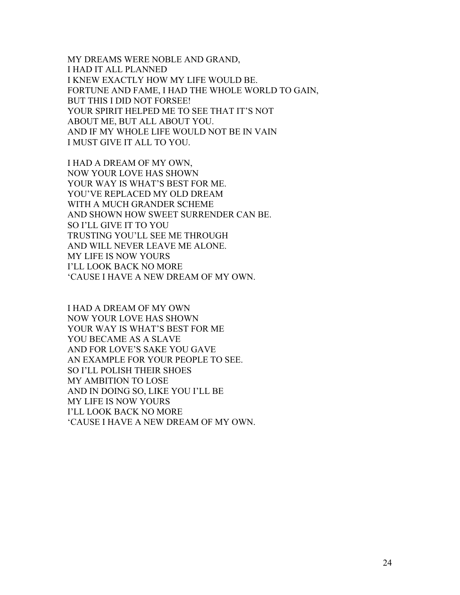MY DREAMS WERE NOBLE AND GRAND, I HAD IT ALL PLANNED I KNEW EXACTLY HOW MY LIFE WOULD BE. FORTUNE AND FAME, I HAD THE WHOLE WORLD TO GAIN, BUT THIS I DID NOT FORSEE! YOUR SPIRIT HELPED ME TO SEE THAT IT'S NOT ABOUT ME, BUT ALL ABOUT YOU. AND IF MY WHOLE LIFE WOULD NOT BE IN VAIN I MUST GIVE IT ALL TO YOU.

I HAD A DREAM OF MY OWN, NOW YOUR LOVE HAS SHOWN YOUR WAY IS WHAT'S BEST FOR ME. YOU'VE REPLACED MY OLD DREAM WITH A MUCH GRANDER SCHEME AND SHOWN HOW SWEET SURRENDER CAN BE. SO I'LL GIVE IT TO YOU TRUSTING YOU'LL SEE ME THROUGH AND WILL NEVER LEAVE ME ALONE. MY LIFE IS NOW YOURS I'LL LOOK BACK NO MORE 'CAUSE I HAVE A NEW DREAM OF MY OWN.

I HAD A DREAM OF MY OWN NOW YOUR LOVE HAS SHOWN YOUR WAY IS WHAT'S BEST FOR ME YOU BECAME AS A SLAVE AND FOR LOVE'S SAKE YOU GAVE AN EXAMPLE FOR YOUR PEOPLE TO SEE. SO I'LL POLISH THEIR SHOES MY AMBITION TO LOSE AND IN DOING SO, LIKE YOU I'LL BE MY LIFE IS NOW YOURS I'LL LOOK BACK NO MORE 'CAUSE I HAVE A NEW DREAM OF MY OWN.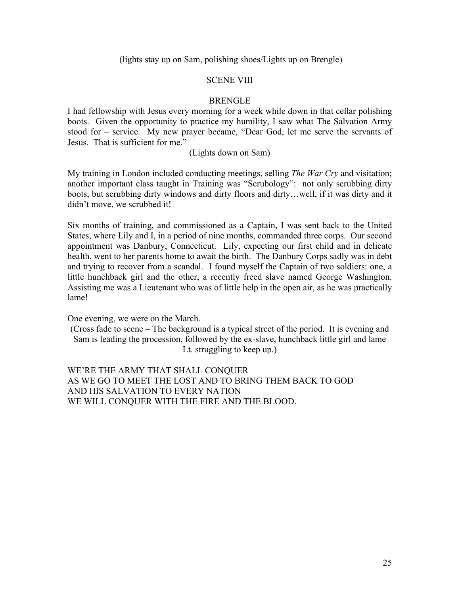(lights stay up on Sam, polishing shoes/Lights up on Brengle)

## SCENE VIII

## **BRENGLE**

I had fellowship with Jesus every morning for a week while down in that cellar polishing boots. Given the opportunity to practice my humility, I saw what The Salvation Army stood for – service. My new prayer became, "Dear God, let me serve the servants of Jesus. That is sufficient for me."

## (Lights down on Sam)

My training in London included conducting meetings, selling *The War Cry* and visitation; another important class taught in Training was "Scrubology": not only scrubbing dirty boots, but scrubbing dirty windows and dirty floors and dirty…well, if it was dirty and it didn't move, we scrubbed it!

Six months of training, and commissioned as a Captain, I was sent back to the United States, where Lily and I, in a period of nine months, commanded three corps. Our second appointment was Danbury, Connecticut. Lily, expecting our first child and in delicate health, went to her parents home to await the birth. The Danbury Corps sadly was in debt and trying to recover from a scandal. I found myself the Captain of two soldiers: one, a little hunchback girl and the other, a recently freed slave named George Washington. Assisting me was a Lieutenant who was of little help in the open air, as he was practically lame!

One evening, we were on the March.

(Cross fade to scene – The background is a typical street of the period. It is evening and Sam is leading the procession, followed by the ex-slave, hunchback little girl and lame Lt. struggling to keep up.)

WE'RE THE ARMY THAT SHALL CONQUER AS WE GO TO MEET THE LOST AND TO BRING THEM BACK TO GOD AND HIS SALVATION TO EVERY NATION WE WILL CONQUER WITH THE FIRE AND THE BLOOD.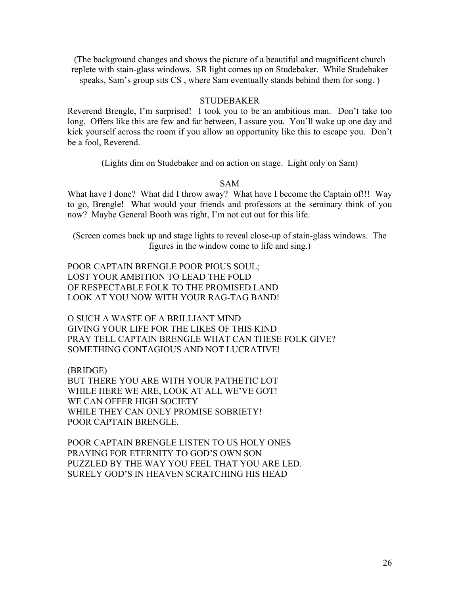(The background changes and shows the picture of a beautiful and magnificent church replete with stain-glass windows. SR light comes up on Studebaker. While Studebaker speaks, Sam's group sits CS , where Sam eventually stands behind them for song. )

## **STUDEBAKER**

Reverend Brengle, I'm surprised! I took you to be an ambitious man. Don't take too long. Offers like this are few and far between, I assure you. You'll wake up one day and kick yourself across the room if you allow an opportunity like this to escape you. Don't be a fool, Reverend.

(Lights dim on Studebaker and on action on stage. Light only on Sam)

#### SAM

What have I done? What did I throw away? What have I become the Captain of!!! Way to go, Brengle! What would your friends and professors at the seminary think of you now? Maybe General Booth was right, I'm not cut out for this life.

(Screen comes back up and stage lights to reveal close-up of stain-glass windows. The figures in the window come to life and sing.)

POOR CAPTAIN BRENGLE POOR PIOUS SOUL; LOST YOUR AMBITION TO LEAD THE FOLD OF RESPECTABLE FOLK TO THE PROMISED LAND LOOK AT YOU NOW WITH YOUR RAG-TAG BAND!

O SUCH A WASTE OF A BRILLIANT MIND GIVING YOUR LIFE FOR THE LIKES OF THIS KIND PRAY TELL CAPTAIN BRENGLE WHAT CAN THESE FOLK GIVE? SOMETHING CONTAGIOUS AND NOT LUCRATIVE!

(BRIDGE) BUT THERE YOU ARE WITH YOUR PATHETIC LOT WHILE HERE WE ARE, LOOK AT ALL WE'VE GOT! WE CAN OFFER HIGH SOCIETY WHILE THEY CAN ONLY PROMISE SOBRIETY! POOR CAPTAIN BRENGLE.

POOR CAPTAIN BRENGLE LISTEN TO US HOLY ONES PRAYING FOR ETERNITY TO GOD'S OWN SON PUZZLED BY THE WAY YOU FEEL THAT YOU ARE LED. SURELY GOD'S IN HEAVEN SCRATCHING HIS HEAD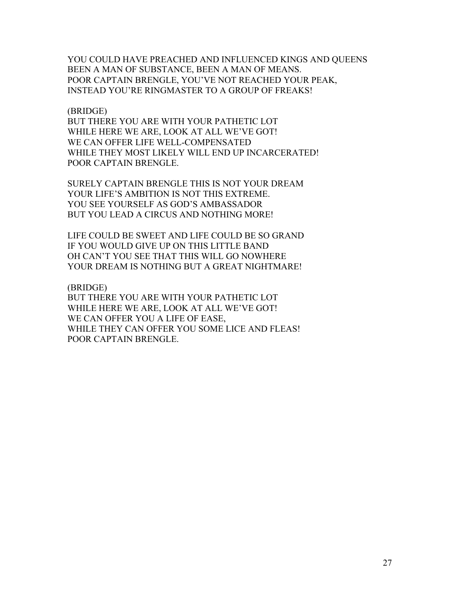YOU COULD HAVE PREACHED AND INFLUENCED KINGS AND QUEENS BEEN A MAN OF SUBSTANCE, BEEN A MAN OF MEANS. POOR CAPTAIN BRENGLE, YOU'VE NOT REACHED YOUR PEAK, INSTEAD YOU'RE RINGMASTER TO A GROUP OF FREAKS!

#### (BRIDGE)

BUT THERE YOU ARE WITH YOUR PATHETIC LOT WHILE HERE WE ARE, LOOK AT ALL WE'VE GOT! WE CAN OFFER LIFE WELL-COMPENSATED WHILE THEY MOST LIKELY WILL END UP INCARCERATED! POOR CAPTAIN BRENGLE.

SURELY CAPTAIN BRENGLE THIS IS NOT YOUR DREAM YOUR LIFE'S AMBITION IS NOT THIS EXTREME. YOU SEE YOURSELF AS GOD'S AMBASSADOR BUT YOU LEAD A CIRCUS AND NOTHING MORE!

LIFE COULD BE SWEET AND LIFE COULD BE SO GRAND IF YOU WOULD GIVE UP ON THIS LITTLE BAND OH CAN'T YOU SEE THAT THIS WILL GO NOWHERE YOUR DREAM IS NOTHING BUT A GREAT NIGHTMARE!

#### (BRIDGE)

BUT THERE YOU ARE WITH YOUR PATHETIC LOT WHILE HERE WE ARE, LOOK AT ALL WE'VE GOT! WE CAN OFFER YOU A LIFE OF EASE, WHILE THEY CAN OFFER YOU SOME LICE AND FLEAS! POOR CAPTAIN BRENGLE.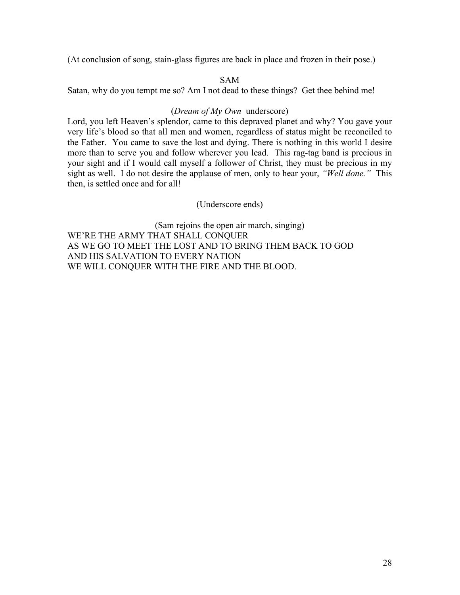(At conclusion of song, stain-glass figures are back in place and frozen in their pose.)

## SAM

Satan, why do you tempt me so? Am I not dead to these things? Get thee behind me!

# (*Dream of My Own* underscore)

Lord, you left Heaven's splendor, came to this depraved planet and why? You gave your very life's blood so that all men and women, regardless of status might be reconciled to the Father. You came to save the lost and dying. There is nothing in this world I desire more than to serve you and follow wherever you lead. This rag-tag band is precious in your sight and if I would call myself a follower of Christ, they must be precious in my sight as well. I do not desire the applause of men, only to hear your, *"Well done."* This then, is settled once and for all!

# (Underscore ends)

(Sam rejoins the open air march, singing) WE'RE THE ARMY THAT SHALL CONQUER AS WE GO TO MEET THE LOST AND TO BRING THEM BACK TO GOD AND HIS SALVATION TO EVERY NATION WE WILL CONQUER WITH THE FIRE AND THE BLOOD.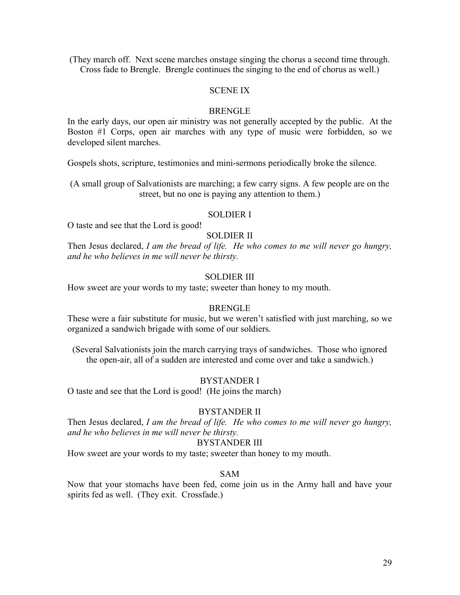(They march off. Next scene marches onstage singing the chorus a second time through. Cross fade to Brengle. Brengle continues the singing to the end of chorus as well.)

## SCENE IX

#### **BRENGLE**

In the early days, our open air ministry was not generally accepted by the public. At the Boston #1 Corps, open air marches with any type of music were forbidden, so we developed silent marches.

Gospels shots, scripture, testimonies and mini-sermons periodically broke the silence.

(A small group of Salvationists are marching; a few carry signs. A few people are on the street, but no one is paying any attention to them.)

#### SOLDIER I

O taste and see that the Lord is good!

## SOLDIER II

Then Jesus declared, *I am the bread of life. He who comes to me will never go hungry, and he who believes in me will never be thirsty.*

# SOLDIER III

How sweet are your words to my taste; sweeter than honey to my mouth.

#### **BRENGLE**

These were a fair substitute for music, but we weren't satisfied with just marching, so we organized a sandwich brigade with some of our soldiers.

(Several Salvationists join the march carrying trays of sandwiches. Those who ignored the open-air, all of a sudden are interested and come over and take a sandwich.)

## BYSTANDER I

O taste and see that the Lord is good! (He joins the march)

#### BYSTANDER II

Then Jesus declared, *I am the bread of life. He who comes to me will never go hungry, and he who believes in me will never be thirsty.*

#### BYSTANDER III

How sweet are your words to my taste; sweeter than honey to my mouth.

#### SAM

Now that your stomachs have been fed, come join us in the Army hall and have your spirits fed as well. (They exit. Crossfade.)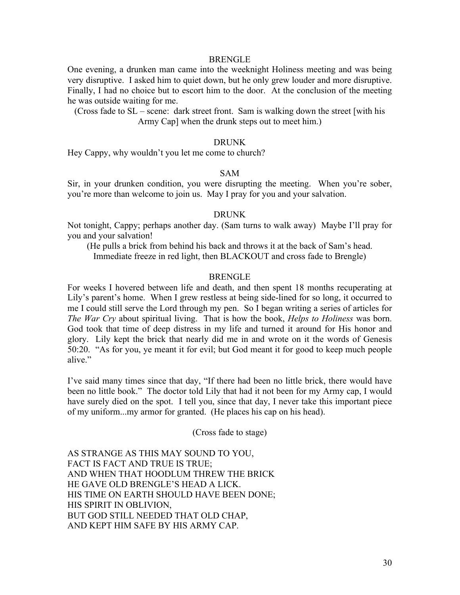#### BRENGLE

One evening, a drunken man came into the weeknight Holiness meeting and was being very disruptive. I asked him to quiet down, but he only grew louder and more disruptive. Finally, I had no choice but to escort him to the door. At the conclusion of the meeting he was outside waiting for me.

(Cross fade to SL – scene: dark street front. Sam is walking down the street [with his Army Cap] when the drunk steps out to meet him.)

## DRUNK

Hey Cappy, why wouldn't you let me come to church?

## SAM

Sir, in your drunken condition, you were disrupting the meeting. When you're sober, you're more than welcome to join us. May I pray for you and your salvation.

#### DRUNK

Not tonight, Cappy; perhaps another day. (Sam turns to walk away) Maybe I'll pray for you and your salvation!

(He pulls a brick from behind his back and throws it at the back of Sam's head. Immediate freeze in red light, then BLACKOUT and cross fade to Brengle)

## BRENGLE

For weeks I hovered between life and death, and then spent 18 months recuperating at Lily's parent's home. When I grew restless at being side-lined for so long, it occurred to me I could still serve the Lord through my pen. So I began writing a series of articles for *The War Cry* about spiritual living. That is how the book, *Helps to Holiness* was born. God took that time of deep distress in my life and turned it around for His honor and glory. Lily kept the brick that nearly did me in and wrote on it the words of Genesis 50:20. "As for you, ye meant it for evil; but God meant it for good to keep much people alive."

I've said many times since that day, "If there had been no little brick, there would have been no little book." The doctor told Lily that had it not been for my Army cap, I would have surely died on the spot. I tell you, since that day, I never take this important piece of my uniform...my armor for granted. (He places his cap on his head).

(Cross fade to stage)

AS STRANGE AS THIS MAY SOUND TO YOU, FACT IS FACT AND TRUE IS TRUE; AND WHEN THAT HOODLUM THREW THE BRICK HE GAVE OLD BRENGLE'S HEAD A LICK. HIS TIME ON EARTH SHOULD HAVE BEEN DONE; HIS SPIRIT IN OBLIVION, BUT GOD STILL NEEDED THAT OLD CHAP, AND KEPT HIM SAFE BY HIS ARMY CAP.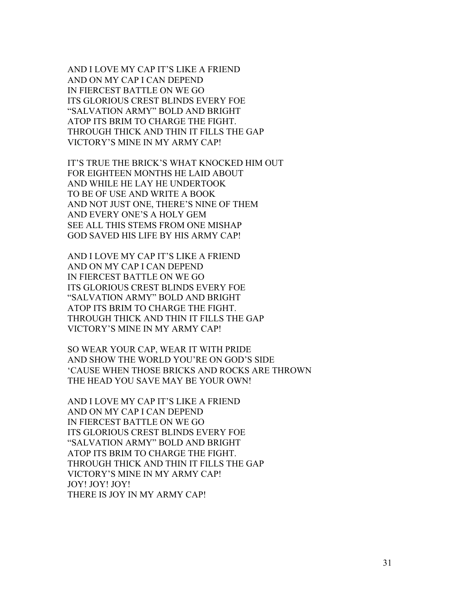AND I LOVE MY CAP IT'S LIKE A FRIEND AND ON MY CAP I CAN DEPEND IN FIERCEST BATTLE ON WE GO ITS GLORIOUS CREST BLINDS EVERY FOE "SALVATION ARMY" BOLD AND BRIGHT ATOP ITS BRIM TO CHARGE THE FIGHT. THROUGH THICK AND THIN IT FILLS THE GAP VICTORY'S MINE IN MY ARMY CAP!

IT'S TRUE THE BRICK'S WHAT KNOCKED HIM OUT FOR EIGHTEEN MONTHS HE LAID ABOUT AND WHILE HE LAY HE UNDERTOOK TO BE OF USE AND WRITE A BOOK AND NOT JUST ONE, THERE'S NINE OF THEM AND EVERY ONE'S A HOLY GEM SEE ALL THIS STEMS FROM ONE MISHAP GOD SAVED HIS LIFE BY HIS ARMY CAP!

AND I LOVE MY CAP IT'S LIKE A FRIEND AND ON MY CAP I CAN DEPEND IN FIERCEST BATTLE ON WE GO ITS GLORIOUS CREST BLINDS EVERY FOE "SALVATION ARMY" BOLD AND BRIGHT ATOP ITS BRIM TO CHARGE THE FIGHT. THROUGH THICK AND THIN IT FILLS THE GAP VICTORY'S MINE IN MY ARMY CAP!

SO WEAR YOUR CAP, WEAR IT WITH PRIDE AND SHOW THE WORLD YOU'RE ON GOD'S SIDE 'CAUSE WHEN THOSE BRICKS AND ROCKS ARE THROWN THE HEAD YOU SAVE MAY BE YOUR OWN!

AND I LOVE MY CAP IT'S LIKE A FRIEND AND ON MY CAP I CAN DEPEND IN FIERCEST BATTLE ON WE GO ITS GLORIOUS CREST BLINDS EVERY FOE "SALVATION ARMY" BOLD AND BRIGHT ATOP ITS BRIM TO CHARGE THE FIGHT. THROUGH THICK AND THIN IT FILLS THE GAP VICTORY'S MINE IN MY ARMY CAP! JOY! JOY! JOY! THERE IS JOY IN MY ARMY CAP!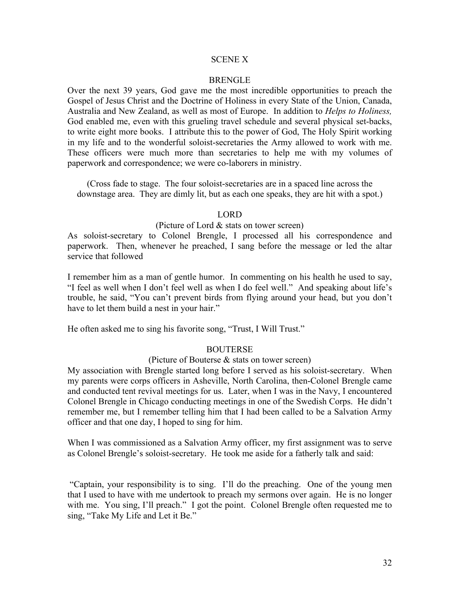## SCENE X

#### **BRENGLE**

Over the next 39 years, God gave me the most incredible opportunities to preach the Gospel of Jesus Christ and the Doctrine of Holiness in every State of the Union, Canada, Australia and New Zealand, as well as most of Europe. In addition to *Helps to Holiness,* God enabled me, even with this grueling travel schedule and several physical set-backs, to write eight more books. I attribute this to the power of God, The Holy Spirit working in my life and to the wonderful soloist-secretaries the Army allowed to work with me. These officers were much more than secretaries to help me with my volumes of paperwork and correspondence; we were co-laborers in ministry.

(Cross fade to stage. The four soloist-secretaries are in a spaced line across the downstage area. They are dimly lit, but as each one speaks, they are hit with a spot.)

#### **LORD**

#### (Picture of Lord & stats on tower screen)

As soloist-secretary to Colonel Brengle, I processed all his correspondence and paperwork. Then, whenever he preached, I sang before the message or led the altar service that followed

I remember him as a man of gentle humor. In commenting on his health he used to say, "I feel as well when I don't feel well as when I do feel well." And speaking about life's trouble, he said, "You can't prevent birds from flying around your head, but you don't have to let them build a nest in your hair."

He often asked me to sing his favorite song, "Trust, I Will Trust."

#### **BOUTERSE**

## (Picture of Bouterse & stats on tower screen)

My association with Brengle started long before I served as his soloist-secretary. When my parents were corps officers in Asheville, North Carolina, then-Colonel Brengle came and conducted tent revival meetings for us. Later, when I was in the Navy, I encountered Colonel Brengle in Chicago conducting meetings in one of the Swedish Corps. He didn't remember me, but I remember telling him that I had been called to be a Salvation Army officer and that one day, I hoped to sing for him.

When I was commissioned as a Salvation Army officer, my first assignment was to serve as Colonel Brengle's soloist-secretary. He took me aside for a fatherly talk and said:

"Captain, your responsibility is to sing. I'll do the preaching. One of the young men that I used to have with me undertook to preach my sermons over again. He is no longer with me. You sing, I'll preach." I got the point. Colonel Brengle often requested me to sing, "Take My Life and Let it Be."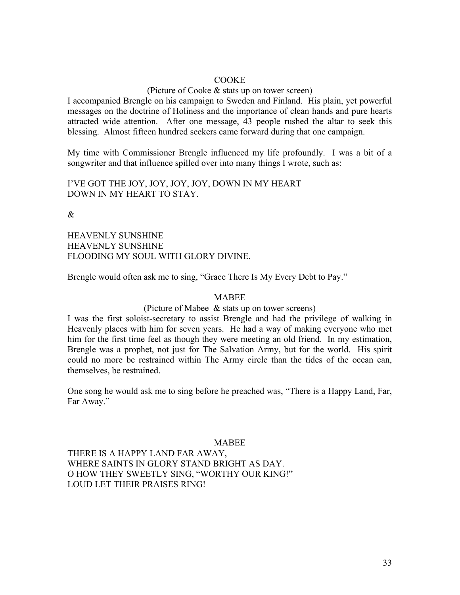## **COOKE**

## (Picture of Cooke & stats up on tower screen)

I accompanied Brengle on his campaign to Sweden and Finland. His plain, yet powerful messages on the doctrine of Holiness and the importance of clean hands and pure hearts attracted wide attention. After one message, 43 people rushed the altar to seek this blessing. Almost fifteen hundred seekers came forward during that one campaign.

My time with Commissioner Brengle influenced my life profoundly. I was a bit of a songwriter and that influence spilled over into many things I wrote, such as:

I'VE GOT THE JOY, JOY, JOY, JOY, DOWN IN MY HEART DOWN IN MY HEART TO STAY.

 $\mathcal{R}_{\mathcal{L}}$ 

HEAVENLY SUNSHINE HEAVENLY SUNSHINE FLOODING MY SOUL WITH GLORY DIVINE.

Brengle would often ask me to sing, "Grace There Is My Every Debt to Pay."

#### MABEE

#### (Picture of Mabee & stats up on tower screens)

I was the first soloist-secretary to assist Brengle and had the privilege of walking in Heavenly places with him for seven years. He had a way of making everyone who met him for the first time feel as though they were meeting an old friend. In my estimation, Brengle was a prophet, not just for The Salvation Army, but for the world. His spirit could no more be restrained within The Army circle than the tides of the ocean can, themselves, be restrained.

One song he would ask me to sing before he preached was, "There is a Happy Land, Far, Far Away."

#### **MABEE**

THERE IS A HAPPY LAND FAR AWAY, WHERE SAINTS IN GLORY STAND BRIGHT AS DAY. O HOW THEY SWEETLY SING, "WORTHY OUR KING!" LOUD LET THEIR PRAISES RING!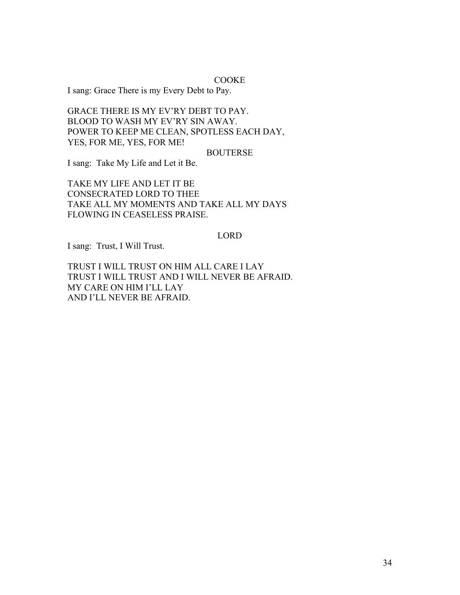## **COOKE**

I sang: Grace There is my Every Debt to Pay.

GRACE THERE IS MY EV'RY DEBT TO PAY. BLOOD TO WASH MY EV'RY SIN AWAY. POWER TO KEEP ME CLEAN, SPOTLESS EACH DAY, YES, FOR ME, YES, FOR ME!

#### BOUTERSE

I sang: Take My Life and Let it Be.

TAKE MY LIFE AND LET IT BE CONSECRATED LORD TO THEE TAKE ALL MY MOMENTS AND TAKE ALL MY DAYS FLOWING IN CEASELESS PRAISE.

## LORD

I sang: Trust, I Will Trust.

TRUST I WILL TRUST ON HIM ALL CARE I LAY TRUST I WILL TRUST AND I WILL NEVER BE AFRAID. MY CARE ON HIM I'LL LAY AND I'LL NEVER BE AFRAID.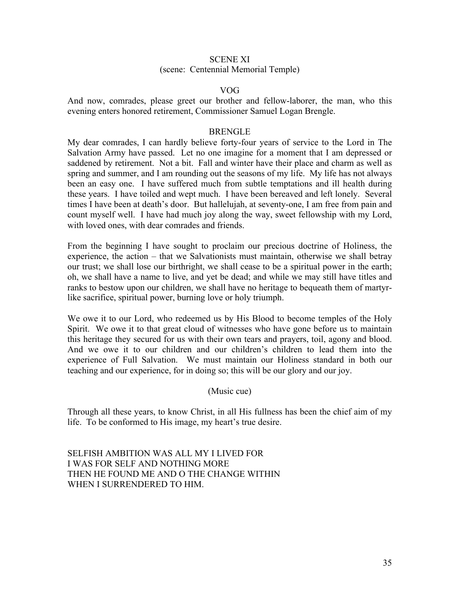# SCENE XI (scene: Centennial Memorial Temple)

## VOG

And now, comrades, please greet our brother and fellow-laborer, the man, who this evening enters honored retirement, Commissioner Samuel Logan Brengle.

## **BRENGLE**

My dear comrades, I can hardly believe forty-four years of service to the Lord in The Salvation Army have passed. Let no one imagine for a moment that I am depressed or saddened by retirement. Not a bit. Fall and winter have their place and charm as well as spring and summer, and I am rounding out the seasons of my life. My life has not always been an easy one. I have suffered much from subtle temptations and ill health during these years. I have toiled and wept much. I have been bereaved and left lonely. Several times I have been at death's door. But hallelujah, at seventy-one, I am free from pain and count myself well. I have had much joy along the way, sweet fellowship with my Lord, with loved ones, with dear comrades and friends.

From the beginning I have sought to proclaim our precious doctrine of Holiness, the experience, the action – that we Salvationists must maintain, otherwise we shall betray our trust; we shall lose our birthright, we shall cease to be a spiritual power in the earth; oh, we shall have a name to live, and yet be dead; and while we may still have titles and ranks to bestow upon our children, we shall have no heritage to bequeath them of martyrlike sacrifice, spiritual power, burning love or holy triumph.

We owe it to our Lord, who redeemed us by His Blood to become temples of the Holy Spirit. We owe it to that great cloud of witnesses who have gone before us to maintain this heritage they secured for us with their own tears and prayers, toil, agony and blood. And we owe it to our children and our children's children to lead them into the experience of Full Salvation. We must maintain our Holiness standard in both our teaching and our experience, for in doing so; this will be our glory and our joy.

## (Music cue)

Through all these years, to know Christ, in all His fullness has been the chief aim of my life. To be conformed to His image, my heart's true desire.

# SELFISH AMBITION WAS ALL MY I LIVED FOR I WAS FOR SELF AND NOTHING MORE THEN HE FOUND ME AND O THE CHANGE WITHIN WHEN I SURRENDERED TO HIM.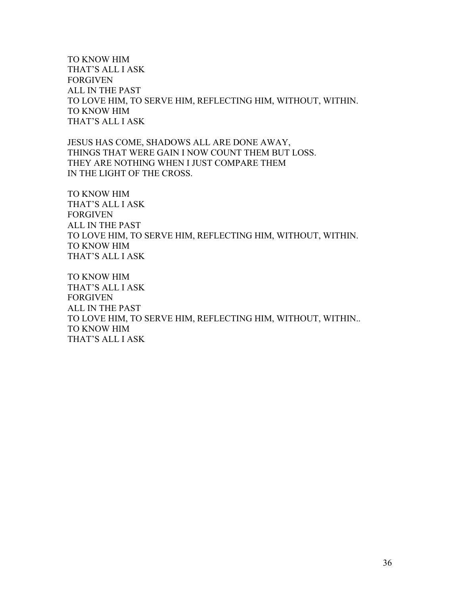TO KNOW HIM THAT'S ALL I ASK FORGIVEN ALL IN THE PAST TO LOVE HIM, TO SERVE HIM, REFLECTING HIM, WITHOUT, WITHIN. TO KNOW HIM THAT'S ALL I ASK

JESUS HAS COME, SHADOWS ALL ARE DONE AWAY, THINGS THAT WERE GAIN I NOW COUNT THEM BUT LOSS. THEY ARE NOTHING WHEN I JUST COMPARE THEM IN THE LIGHT OF THE CROSS.

TO KNOW HIM THAT'S ALL I ASK FORGIVEN ALL IN THE PAST TO LOVE HIM, TO SERVE HIM, REFLECTING HIM, WITHOUT, WITHIN. TO KNOW HIM THAT'S ALL I ASK

TO KNOW HIM THAT'S ALL I ASK FORGIVEN ALL IN THE PAST TO LOVE HIM, TO SERVE HIM, REFLECTING HIM, WITHOUT, WITHIN.. TO KNOW HIM THAT'S ALL I ASK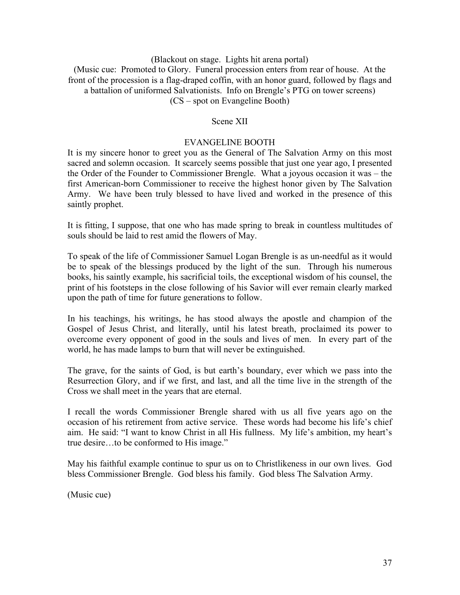(Blackout on stage. Lights hit arena portal) (Music cue: Promoted to Glory. Funeral procession enters from rear of house. At the front of the procession is a flag-draped coffin, with an honor guard, followed by flags and a battalion of uniformed Salvationists. Info on Brengle's PTG on tower screens) (CS – spot on Evangeline Booth)

## Scene XII

# EVANGELINE BOOTH

It is my sincere honor to greet you as the General of The Salvation Army on this most sacred and solemn occasion. It scarcely seems possible that just one year ago, I presented the Order of the Founder to Commissioner Brengle. What a joyous occasion it was – the first American-born Commissioner to receive the highest honor given by The Salvation Army. We have been truly blessed to have lived and worked in the presence of this saintly prophet.

It is fitting, I suppose, that one who has made spring to break in countless multitudes of souls should be laid to rest amid the flowers of May.

To speak of the life of Commissioner Samuel Logan Brengle is as un-needful as it would be to speak of the blessings produced by the light of the sun. Through his numerous books, his saintly example, his sacrificial toils, the exceptional wisdom of his counsel, the print of his footsteps in the close following of his Savior will ever remain clearly marked upon the path of time for future generations to follow.

In his teachings, his writings, he has stood always the apostle and champion of the Gospel of Jesus Christ, and literally, until his latest breath, proclaimed its power to overcome every opponent of good in the souls and lives of men. In every part of the world, he has made lamps to burn that will never be extinguished.

The grave, for the saints of God, is but earth's boundary, ever which we pass into the Resurrection Glory, and if we first, and last, and all the time live in the strength of the Cross we shall meet in the years that are eternal.

I recall the words Commissioner Brengle shared with us all five years ago on the occasion of his retirement from active service. These words had become his life's chief aim. He said: "I want to know Christ in all His fullness. My life's ambition, my heart's true desire…to be conformed to His image."

May his faithful example continue to spur us on to Christlikeness in our own lives. God bless Commissioner Brengle. God bless his family. God bless The Salvation Army.

(Music cue)